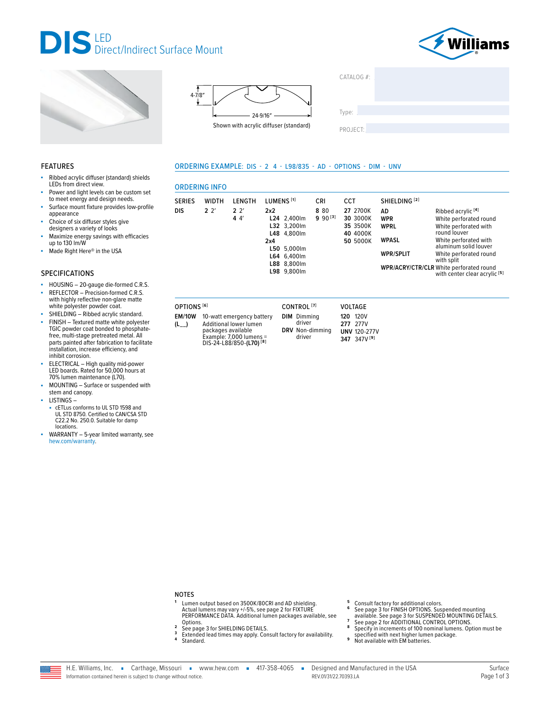



Ribbed acrylic<sup>[4]</sup>

round louver

with split

WPR/ACRY/CTR/CLR White perforated round

White perforated round

White perforated with

White perforated with

aluminum solid louver

White perforated round

with center clear acrylic<sup>[5]</sup>





LENGTH

 $2.2'$ 

 $44$ 

ORDERING EXAMPLE: DIS - 2 4 - L98/835 - AD - OPTIONS - DIM - UNV

L24 2,400lm

L32 3.200lm

L48 4,800lm

L50 5,000lm

L64 6,400lm

L88 8,800lm

L98 9,800lm

LUMENS<sup>[1]</sup>

 $2x2$ 

 $2x4$ 

| CATALOG #: |  |
|------------|--|
|            |  |
|            |  |
| Type:      |  |
|            |  |
| PROJECT:   |  |

SHIELDING<sup>[2]</sup>

**AD** 

**WPR** 

**WPRI** 

**WPASL** 

**WPR/SPLIT** 

### **FEATURES**

- Ribbed acrylic diffuser (standard) shields LEDs from direct view.
- Power and light levels can be custom set to meet energy and design needs.
- Surface mount fixture provides low-profile appearance
- Choice of six diffuser styles give ä
- designers a variety of looks Maximize energy savings with efficacies<br>up to 130 lm/W
- Made Right Here® in the USA

### **SPECIFICATIONS**

- HOUSING 20-gauge die-formed C.R.S.
- REFLECTOR Precision-formed C.R.S.<br>with highly reflective non-glare matte white polyester powder coat.
- SHIELDING Ribbed acrylic standard.
- FINISH Textured matte white polyester TGIC powder coat bonded to phosphatefree, multi-stage pretreated metal. All parts painted after fabrication to facilitate installation, increase efficiency, and inhibit corrosion.
- ELECTRICAL High quality mid-power<br>LED boards. Rated for 50,000 hours at 70% lumen maintenance (L70).
- MOUNTING Surface or suspended with stem and canopy.
- LISTINGS-
- cETLus conforms to UL STD 1598 and UL STD 8750. Certified to CAN/CSA STD C22.2 No. 250.0. Suitable for damp locations.
- WARRANTY 5-year limited warranty, see hew.com/warranty.

OPTIONS<sup>[6]</sup>

**ORDERING INFO** 

**WIDTH** 

 $22'$ 

**SERIES** 

**DIS** 

EM/10W 10-watt emergency battery Additional lower lumen  $(L)$ packages available<br>Example: 7,000 lumens DIS-24-L88/850-(L70)<sup>[8]</sup>

CONTROL<sup>[7]</sup> VOLTAGE **DIM** Dimming **120 120V** driver 277 277V DRV Non-dimming **UNV 120-277V** driver 347 347V [9]

CRI

8 8 0

 $990^{[3]}$ 

CCT

27 2700K

30 3000K

35 3500K

40 4000K

50 5000K

**NOTES** 

- Lumen output based on 3500K/80CRI and AD shielding. Actual lumens may vary +/-5%, see page 2 for FIXTURE<br>PERFORMANCE DATA. Additional lumen packages available, see Options.  $\overline{2}$ 
	- See page 3 for SHIELDING DETAILS.
- $\overline{\mathbf{3}}$ Extended lead times may apply. Consult factory for availability.
- $\pmb{4}$ Standard
- 6
- Consult factory for additional colors.<br>See page 3 for FINISH OPTIONS. Suspended mounting See page 3 for SUSPENDED MOUNTING DETAILS.<br>See page 2 for ADDITIONAL CONTROL OPTIONS.<br>Specify in increments of 100 nominal lumens. Option must be
- 8
- specified with next higher lumen package.<br>Not available with EM batteries. 9

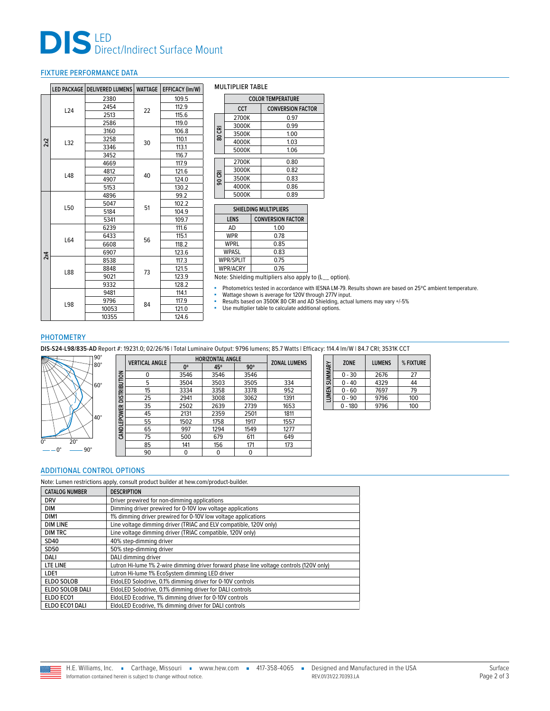# **DIS** LED<br>Direct/Indirect Surface Mount

### <span id="page-1-0"></span>FIXTURE PERFORMANCE DATA

|     |     | LED PACKAGE   DELIVERED LUMENS | <b>WATTAGE</b> | EFFICACY (Im/W) |
|-----|-----|--------------------------------|----------------|-----------------|
|     |     | 2380                           |                | 109.5           |
|     | L24 | 2454                           | 22             | 112.9           |
|     |     | 2513                           |                | 115.6           |
|     |     | 2586                           |                | 119.0           |
|     |     | 3160                           |                | 106.8           |
| 2x2 | L32 | 3258                           | 30             | 110.1           |
|     |     | 3346                           |                | 113.1           |
|     |     | 3452                           |                | 116.7           |
|     |     | 4669                           |                | 117.9           |
|     | L48 | 4812                           | 40             | 121.6           |
|     |     | 4907                           |                | 124.0           |
|     |     | 5153                           |                | 130.2           |
|     |     | 4896                           |                | 99.2            |
|     | L50 | 5047                           | 51             | 102.2           |
|     |     | 5184                           |                | 104.9           |
|     |     | 5341                           |                | 109.7           |
|     | L64 | 6239                           |                | 111.6           |
|     |     | 6433                           | 56             | 115.1           |
|     |     | 6608                           |                | 118.2           |
| 2x4 |     | 6907                           |                | 123.6           |
|     |     | 8538                           |                | 117.3           |
|     | L88 | 8848                           | 73             | 121.5           |
|     |     | 9021                           |                | 123.9           |
|     |     | 9332                           |                | 128.2           |
|     |     | 9481                           |                | 114.1           |
|     | L98 | 9796                           | 84             | 117.9           |
|     |     | 10053                          |                | 121.0           |
|     |     | 10355                          |                | 124.6           |

#### MULTIPLIER TABLE

|        | <b>COLOR TEMPERATURE</b>               |      |  |  |  |  |
|--------|----------------------------------------|------|--|--|--|--|
|        | <b>CCT</b><br><b>CONVERSION FACTOR</b> |      |  |  |  |  |
|        | 2700K                                  | 0.97 |  |  |  |  |
|        | 3000K                                  | 0.99 |  |  |  |  |
| 80 CRI | 3500K                                  | 1.00 |  |  |  |  |
|        | 4000K                                  | 1.03 |  |  |  |  |
|        | 5000K                                  | 1.06 |  |  |  |  |
|        | 2700K                                  | 0.80 |  |  |  |  |
|        | 3000K                                  | 0.82 |  |  |  |  |
| 90 CRI | 3500K                                  | 0.83 |  |  |  |  |
|        | 4000K                                  | 0.86 |  |  |  |  |
|        | 5000K                                  | 0.89 |  |  |  |  |

# **SHIELDING MULTIPLIERS LENS CONVERSION FACTOR** AD 1.00

| АU               | I.UU |
|------------------|------|
| WPR              | 0.78 |
| WPRL             | 0.85 |
| WPASL            | 0.83 |
| <b>WPR/SPLIT</b> | 0.75 |
| WPR/ACRY         | 0.76 |

Note: Shielding multipliers also apply to (L\_\_ option).

■ Photometrics tested in accordance with IESNA LM-79. Results shown are based on 25°C ambient temperature.<br>■ Wattage shown is average for 120V through 277V input.<br>■ Results based on 3500K 80 CRI and AD Shielding, actual l

■ Use multiplier table to calculate additional options.

### **PHOTOMETRY**

**DIS-S24-L98/835-AD** Report #: 19231.0; 02/26/16 | Total Luminaire Output: 9796 lumens; 85.7 Watts | Efficacy: 114.4 lm/W | 84.7 CRI; 3531K CCT



|              | <b>VERTICAL ANGLE</b> | <b>HORIZONTAL ANGLE</b> |      |            | <b>ZONAL LUMENS</b> |
|--------------|-----------------------|-------------------------|------|------------|---------------------|
|              |                       | 0°                      | 45°  | $90^\circ$ |                     |
|              | 0                     | 3546                    | 3546 | 3546       |                     |
| DISTRIBUTION | 5                     | 3504                    | 3503 | 3505       | 334                 |
|              | 15                    | 3334                    | 3358 | 3378       | 952                 |
|              | 25                    | 2941                    | 3008 | 3062       | 1391                |
|              | 35                    | 2502                    | 2639 | 2739       | 1653                |
|              | 45                    | 2131                    | 2359 | 2501       | 1811                |
| CANDLEPOWER  | 55                    | 1502                    | 1758 | 1917       | 1557                |
|              | 65                    | 997                     | 1294 | 1549       | 1277                |
|              | 75                    | 500                     | 679  | 611        | 649                 |
|              | 85                    | 141                     | 156  | 171        | 173                 |
|              | 90                    | 0                       | 0    | 0          |                     |

| LUMEN SUMMARY | <b>ZONE</b> | <b>LUMENS</b> | % FIXTURE |
|---------------|-------------|---------------|-----------|
|               | $0 - 30$    | 2676          | 27        |
|               | $0 - 40$    | 4329          | 44        |
|               | $0 - 60$    | 7697          | 79        |
|               | $0 - 90$    | 9796          | 100       |
|               | $-180$      | 9796          | 100       |

## <span id="page-1-1"></span>ADDITIONAL CONTROL OPTIONS

Note: Lumen restrictions apply, consult product builder at hew.com/product-builder.

| <b>CATALOG NUMBER</b> | <b>DESCRIPTION</b>                                                                      |
|-----------------------|-----------------------------------------------------------------------------------------|
| <b>DRV</b>            | Driver prewired for non-dimming applications                                            |
| <b>DIM</b>            | Dimming driver prewired for 0-10V low voltage applications                              |
| DIM <sub>1</sub>      | 1% dimming driver prewired for 0-10V low voltage applications                           |
| <b>DIM LINE</b>       | Line voltage dimming driver (TRIAC and ELV compatible, 120V only)                       |
| <b>DIM TRC</b>        | Line voltage dimming driver (TRIAC compatible, 120V only)                               |
| SD40                  | 40% step-dimming driver                                                                 |
| SD50                  | 50% step-dimming driver                                                                 |
| DALI                  | DALI dimming driver                                                                     |
| LTE LINE              | Lutron Hi-lume 1% 2-wire dimming driver forward phase line voltage controls (120V only) |
| LDE1                  | Lutron Hi-lume 1% EcoSystem dimming LED driver                                          |
| ELDO SOLOB            | EldoLED Solodrive, 0.1% dimming driver for 0-10V controls                               |
| ELDO SOLOB DALI       | EldoLED Solodrive, 0.1% dimming driver for DALI controls                                |
| ELDO ECO1             | EldoLED Ecodrive, 1% dimming driver for 0-10V controls                                  |
| ELDO ECO1 DALI        | EldoLED Ecodrive, 1% dimming driver for DALI controls                                   |